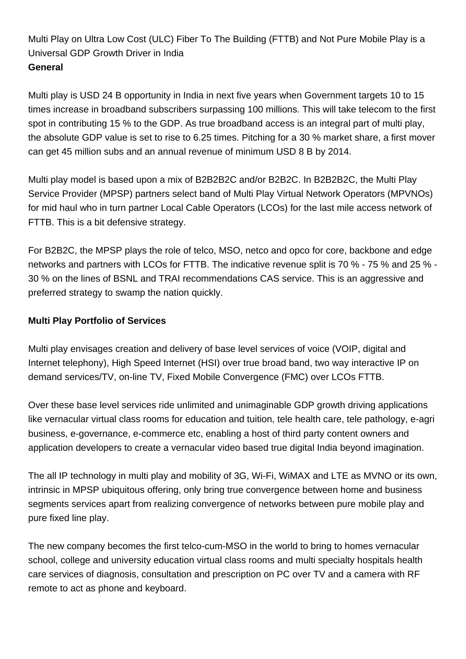Multi Play on Ultra Low Cost (ULC) Fiber To The Building (FTTB) and Not Pure Mobile Play is a Universal GDP Growth Driver in India **General**

Multi play is USD 24 B opportunity in India in next five years when Government targets 10 to 15 times increase in broadband subscribers surpassing 100 millions. This will take telecom to the first spot in contributing 15 % to the GDP. As true broadband access is an integral part of multi play, the absolute GDP value is set to rise to 6.25 times. Pitching for a 30 % market share, a first mover can get 45 million subs and an annual revenue of minimum USD 8 B by 2014.

Multi play model is based upon a mix of B2B2B2C and/or B2B2C. In B2B2B2C, the Multi Play Service Provider (MPSP) partners select band of Multi Play Virtual Network Operators (MPVNOs) for mid haul who in turn partner Local Cable Operators (LCOs) for the last mile access network of FTTB. This is a bit defensive strategy.

For B2B2C, the MPSP plays the role of telco, MSO, netco and opco for core, backbone and edge networks and partners with LCOs for FTTB. The indicative revenue split is 70 % - 75 % and 25 % - 30 % on the lines of BSNL and TRAI recommendations CAS service. This is an aggressive and preferred strategy to swamp the nation quickly.

## **Multi Play Portfolio of Services**

Multi play envisages creation and delivery of base level services of voice (VOIP, digital and Internet telephony), High Speed Internet (HSI) over true broad band, two way interactive IP on demand services/TV, on-line TV, Fixed Mobile Convergence (FMC) over LCOs FTTB.

Over these base level services ride unlimited and unimaginable GDP growth driving applications like vernacular virtual class rooms for education and tuition, tele health care, tele pathology, e-agri business, e-governance, e-commerce etc, enabling a host of third party content owners and application developers to create a vernacular video based true digital India beyond imagination.

The all IP technology in multi play and mobility of 3G, Wi-Fi, WiMAX and LTE as MVNO or its own, intrinsic in MPSP ubiquitous offering, only bring true convergence between home and business segments services apart from realizing convergence of networks between pure mobile play and pure fixed line play.

The new company becomes the first telco-cum-MSO in the world to bring to homes vernacular school, college and university education virtual class rooms and multi specialty hospitals health care services of diagnosis, consultation and prescription on PC over TV and a camera with RF remote to act as phone and keyboard.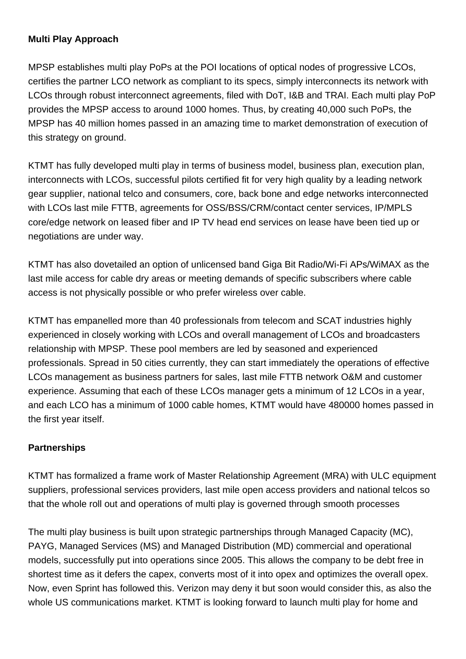## **Multi Play Approach**

MPSP establishes multi play PoPs at the POI locations of optical nodes of progressive LCOs, certifies the partner LCO network as compliant to its specs, simply interconnects its network with LCOs through robust interconnect agreements, filed with DoT, I&B and TRAI. Each multi play PoP provides the MPSP access to around 1000 homes. Thus, by creating 40,000 such PoPs, the MPSP has 40 million homes passed in an amazing time to market demonstration of execution of this strategy on ground.

KTMT has fully developed multi play in terms of business model, business plan, execution plan, interconnects with LCOs, successful pilots certified fit for very high quality by a leading network gear supplier, national telco and consumers, core, back bone and edge networks interconnected with LCOs last mile FTTB, agreements for OSS/BSS/CRM/contact center services, IP/MPLS core/edge network on leased fiber and IP TV head end services on lease have been tied up or negotiations are under way.

KTMT has also dovetailed an option of unlicensed band Giga Bit Radio/Wi-Fi APs/WiMAX as the last mile access for cable dry areas or meeting demands of specific subscribers where cable access is not physically possible or who prefer wireless over cable.

KTMT has empanelled more than 40 professionals from telecom and SCAT industries highly experienced in closely working with LCOs and overall management of LCOs and broadcasters relationship with MPSP. These pool members are led by seasoned and experienced professionals. Spread in 50 cities currently, they can start immediately the operations of effective LCOs management as business partners for sales, last mile FTTB network O&M and customer experience. Assuming that each of these LCOs manager gets a minimum of 12 LCOs in a year, and each LCO has a minimum of 1000 cable homes, KTMT would have 480000 homes passed in the first year itself.

## **Partnerships**

KTMT has formalized a frame work of Master Relationship Agreement (MRA) with ULC equipment suppliers, professional services providers, last mile open access providers and national telcos so that the whole roll out and operations of multi play is governed through smooth processes

The multi play business is built upon strategic partnerships through Managed Capacity (MC), PAYG, Managed Services (MS) and Managed Distribution (MD) commercial and operational models, successfully put into operations since 2005. This allows the company to be debt free in shortest time as it defers the capex, converts most of it into opex and optimizes the overall opex. Now, even Sprint has followed this. Verizon may deny it but soon would consider this, as also the whole US communications market. KTMT is looking forward to launch multi play for home and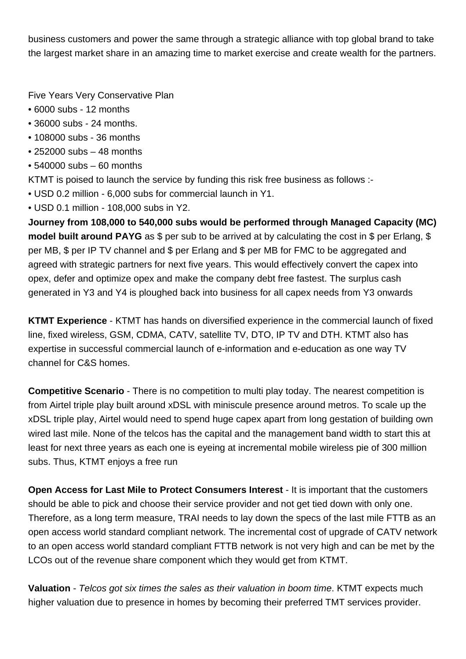business customers and power the same through a strategic alliance with top global brand to take the largest market share in an amazing time to market exercise and create wealth for the partners.

Five Years Very Conservative Plan

- 6000 subs 12 months
- 36000 subs 24 months.
- 108000 subs 36 months
- 252000 subs 48 months
- 540000 subs 60 months

KTMT is poised to launch the service by funding this risk free business as follows :-

- USD 0.2 million 6,000 subs for commercial launch in Y1.
- USD 0.1 million 108,000 subs in Y2.

**Journey from 108,000 to 540,000 subs would be performed through Managed Capacity (MC) model built around PAYG** as \$ per sub to be arrived at by calculating the cost in \$ per Erlang, \$ per MB, \$ per IP TV channel and \$ per Erlang and \$ per MB for FMC to be aggregated and agreed with strategic partners for next five years. This would effectively convert the capex into opex, defer and optimize opex and make the company debt free fastest. The surplus cash generated in Y3 and Y4 is ploughed back into business for all capex needs from Y3 onwards

**KTMT Experience** - KTMT has hands on diversified experience in the commercial launch of fixed line, fixed wireless, GSM, CDMA, CATV, satellite TV, DTO, IP TV and DTH. KTMT also has expertise in successful commercial launch of e-information and e-education as one way TV channel for C&S homes.

**Competitive Scenario** - There is no competition to multi play today. The nearest competition is from Airtel triple play built around xDSL with miniscule presence around metros. To scale up the xDSL triple play, Airtel would need to spend huge capex apart from long gestation of building own wired last mile. None of the telcos has the capital and the management band width to start this at least for next three years as each one is eyeing at incremental mobile wireless pie of 300 million subs. Thus, KTMT enjoys a free run

**Open Access for Last Mile to Protect Consumers Interest** - It is important that the customers should be able to pick and choose their service provider and not get tied down with only one. Therefore, as a long term measure, TRAI needs to lay down the specs of the last mile FTTB as an open access world standard compliant network. The incremental cost of upgrade of CATV network to an open access world standard compliant FTTB network is not very high and can be met by the LCOs out of the revenue share component which they would get from KTMT.

**Valuation** - Telcos got six times the sales as their valuation in boom time. KTMT expects much higher valuation due to presence in homes by becoming their preferred TMT services provider.